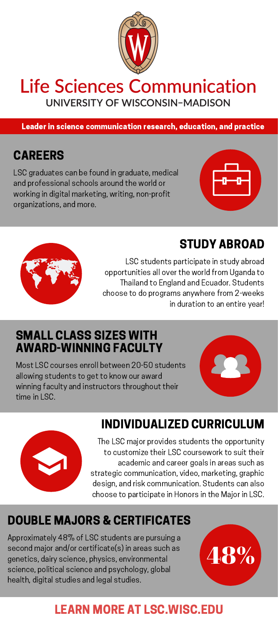

## **Life Sciences Communication** UNIVERSITY OF WISCONSIN-MADISON

Leader in science communication research, education, and practice

## **CARFFRS**

LSC graduates can be found in graduate, medical and professional schools around the world or working in digital marketing, writing, non-profit organizations, and more.



## STUDY ABROAD



LSC students participate in study abroad opportunities all over the world from Uganda to Thailand to England and Ecuador. Students choose to do programs anywhere from 2-weeks in duration to an entire year!

### SMALL CLASS SIZES WITH AWARD-WINNING FACULTY

Most LSC courses enroll between 20-50 students allowing students to get to know our award winning faculty and instructors throughout their time in LSC.





## INDIVIDUALIZED CURRICULUM

The LSC major provides students the opportunity to customize their LSC coursework to suit their academic and career goals in areas such as strategic communication, video, marketing, graphic design, and risk communication. Students can also choose to participate in Honors in the Major in LSC.

# DOUBLE MAJORS & CERTIFICATES

Approximately 48% of LSC students are pursuing a second major and/or certificate(s) in areas such as genetics, dairy science, physics, environmental science, political science and psychology, global health, digital studies and legal studies.



# LEARN MORE AT LSC.WISC.EDU